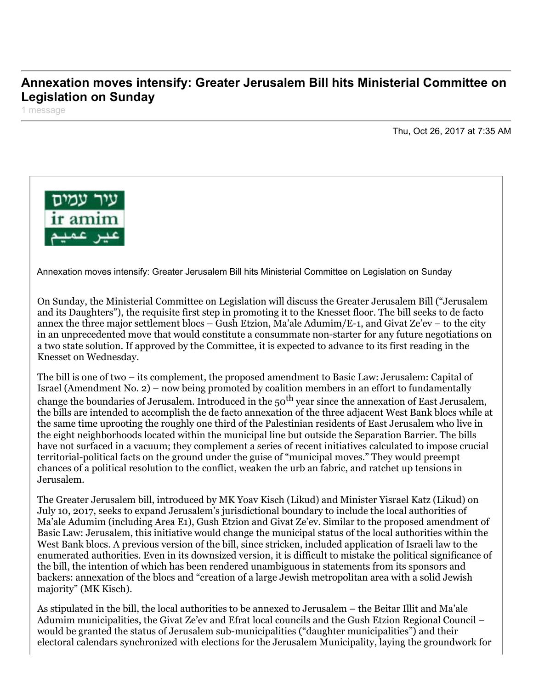## **Annexation moves intensify: Greater Jerusalem Bill hits Ministerial Committee on Legislation on Sunday**

1 message

Thu, Oct 26, 2017 at 7:35 AM



Annexation moves intensify: Greater Jerusalem Bill hits Ministerial Committee on Legislation on Sunday

On Sunday, the Ministerial Committee on Legislation will discuss the Greater Jerusalem Bill ("Jerusalem and its Daughters"), the requisite first step in promoting it to the Knesset floor. The bill seeks to de facto annex the three major settlement blocs – Gush Etzion, Ma'ale Adumim/E-1, and Givat Ze'ev – to the city in an unprecedented move that would constitute a consummate non-starter for any future negotiations on a two state solution. If approved by the Committee, it is expected to advance to its first reading in the Knesset on Wednesday.

The bill is one of two – its complement, the proposed amendment to Basic Law: Jerusalem: Capital of Israel (Amendment No. 2) – now being promoted by coalition members in an effort to fundamentally change the boundaries of Jerusalem. Introduced in the  $50<sup>th</sup>$  year since the annexation of East Jerusalem, the bills are intended to accomplish the de facto annexation of the three adjacent West Bank blocs while at the same time uprooting the roughly one third of the Palestinian residents of East Jerusalem who live in the eight neighborhoods located within the municipal line but outside the Separation Barrier. The bills have not surfaced in a vacuum; they complement a series of recent initiatives calculated to impose crucial territorial-political facts on the ground under the guise of "municipal moves." They would preempt chances of a political resolution to the conflict, weaken the urb an fabric, and ratchet up tensions in Jerusalem.

The Greater Jerusalem bill, introduced by MK Yoav Kisch (Likud) and Minister Yisrael Katz (Likud) on July 10, 2017, seeks to expand Jerusalem's jurisdictional boundary to include the local authorities of Ma'ale Adumim (including Area E1), Gush Etzion and Givat Ze'ev. Similar to the proposed amendment of Basic Law: Jerusalem, this initiative would change the municipal status of the local authorities within the West Bank blocs. A previous version of the bill, since stricken, included application of Israeli law to the enumerated authorities. Even in its downsized version, it is difficult to mistake the political significance of the bill, the intention of which has been rendered unambiguous in statements from its sponsors and backers: annexation of the blocs and "creation of a large Jewish metropolitan area with a solid Jewish majority" (MK Kisch).

As stipulated in the bill, the local authorities to be annexed to Jerusalem – the Beitar Illit and Ma'ale Adumim municipalities, the Givat Ze'ev and Efrat local councils and the Gush Etzion Regional Council – would be granted the status of Jerusalem sub-municipalities ("daughter municipalities") and their electoral calendars synchronized with elections for the Jerusalem Municipality, laying the groundwork for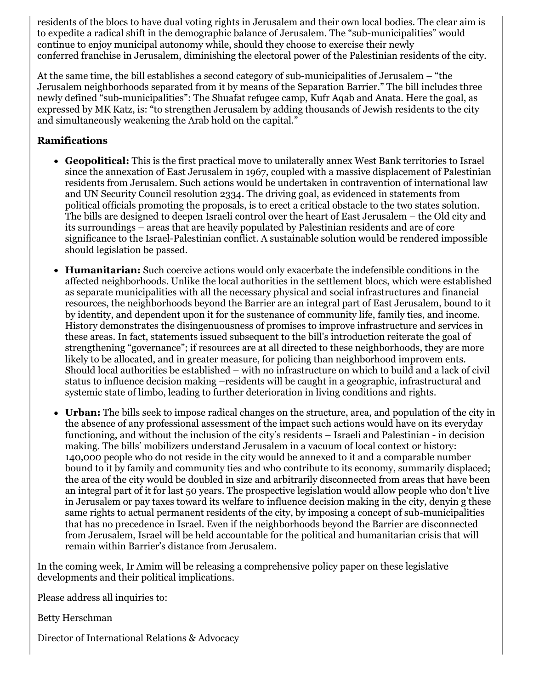residents of the blocs to have dual voting rights in Jerusalem and their own local bodies. The clear aim is to expedite a radical shift in the demographic balance of Jerusalem. The "sub-municipalities" would continue to enjoy municipal autonomy while, should they choose to exercise their newly conferred franchise in Jerusalem, diminishing the electoral power of the Palestinian residents of the city.

At the same time, the bill establishes a second category of sub-municipalities of Jerusalem – "the Jerusalem neighborhoods separated from it by means of the Separation Barrier." The bill includes three newly defined "sub-municipalities": The Shuafat refugee camp, Kufr Aqab and Anata. Here the goal, as expressed by MK Katz, is: "to strengthen Jerusalem by adding thousands of Jewish residents to the city and simultaneously weakening the Arab hold on the capital."

## **Ramifications**

- **Geopolitical:** This is the first practical move to unilaterally annex West Bank territories to Israel since the annexation of East Jerusalem in 1967, coupled with a massive displacement of Palestinian residents from Jerusalem. Such actions would be undertaken in contravention of international law and UN Security Council resolution 2334. The driving goal, as evidenced in statements from political officials promoting the proposals, is to erect a critical obstacle to the two states solution. The bills are designed to deepen Israeli control over the heart of East Jerusalem – the Old city and its surroundings – areas that are heavily populated by Palestinian residents and are of core significance to the Israel-Palestinian conflict. A sustainable solution would be rendered impossible should legislation be passed.
- **Humanitarian:** Such coercive actions would only exacerbate the indefensible conditions in the affected neighborhoods. Unlike the local authorities in the settlement blocs, which were established as separate municipalities with all the necessary physical and social infrastructures and financial resources, the neighborhoods beyond the Barrier are an integral part of East Jerusalem, bound to it by identity, and dependent upon it for the sustenance of community life, family ties, and income. History demonstrates the disingenuousness of promises to improve infrastructure and services in these areas. In fact, statements issued subsequent to the bill's introduction reiterate the goal of strengthening "governance"; if resources are at all directed to these neighborhoods, they are more likely to be allocated, and in greater measure, for policing than neighborhood improvem ents. Should local authorities be established – with no infrastructure on which to build and a lack of civil status to influence decision making –residents will be caught in a geographic, infrastructural and systemic state of limbo, leading to further deterioration in living conditions and rights.
- **Urban:** The bills seek to impose radical changes on the structure, area, and population of the city in the absence of any professional assessment of the impact such actions would have on its everyday functioning, and without the inclusion of the city's residents – Israeli and Palestinian - in decision making. The bills' mobilizers understand Jerusalem in a vacuum of local context or history: 140,000 people who do not reside in the city would be annexed to it and a comparable number bound to it by family and community ties and who contribute to its economy, summarily displaced; the area of the city would be doubled in size and arbitrarily disconnected from areas that have been an integral part of it for last 50 years. The prospective legislation would allow people who don't live in Jerusalem or pay taxes toward its welfare to influence decision making in the city, denyin g these same rights to actual permanent residents of the city, by imposing a concept of sub-municipalities that has no precedence in Israel. Even if the neighborhoods beyond the Barrier are disconnected from Jerusalem, Israel will be held accountable for the political and humanitarian crisis that will remain within Barrier's distance from Jerusalem.

In the coming week, Ir Amim will be releasing a comprehensive policy paper on these legislative developments and their political implications.

Please address all inquiries to:

Betty Herschman

Director of International Relations & Advocacy